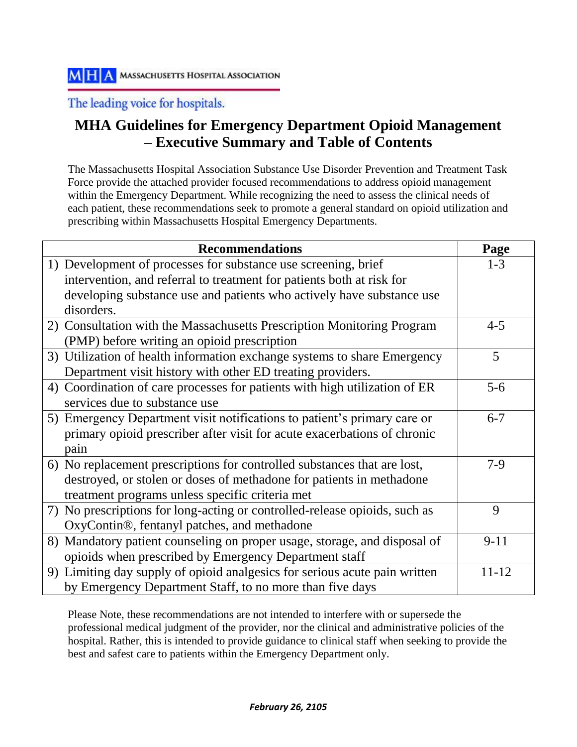The leading voice for hospitals.

# **MHA Guidelines for Emergency Department Opioid Management – Executive Summary and Table of Contents**

The Massachusetts Hospital Association Substance Use Disorder Prevention and Treatment Task Force provide the attached provider focused recommendations to address opioid management within the Emergency Department. While recognizing the need to assess the clinical needs of each patient, these recommendations seek to promote a general standard on opioid utilization and prescribing within Massachusetts Hospital Emergency Departments.

| <b>Recommendations</b>                                                     | Page      |
|----------------------------------------------------------------------------|-----------|
| 1) Development of processes for substance use screening, brief             | $1 - 3$   |
| intervention, and referral to treatment for patients both at risk for      |           |
| developing substance use and patients who actively have substance use      |           |
| disorders.                                                                 |           |
| 2) Consultation with the Massachusetts Prescription Monitoring Program     | $4 - 5$   |
| (PMP) before writing an opioid prescription                                |           |
| 3) Utilization of health information exchange systems to share Emergency   | 5         |
| Department visit history with other ED treating providers.                 |           |
| 4) Coordination of care processes for patients with high utilization of ER | $5-6$     |
| services due to substance use                                              |           |
| 5) Emergency Department visit notifications to patient's primary care or   | $6 - 7$   |
| primary opioid prescriber after visit for acute exacerbations of chronic   |           |
| pain                                                                       |           |
| 6) No replacement prescriptions for controlled substances that are lost,   | $7-9$     |
| destroyed, or stolen or doses of methadone for patients in methadone       |           |
| treatment programs unless specific criteria met                            |           |
| 7) No prescriptions for long-acting or controlled-release opioids, such as | 9         |
| OxyContin®, fentanyl patches, and methadone                                |           |
| 8) Mandatory patient counseling on proper usage, storage, and disposal of  | $9 - 11$  |
| opioids when prescribed by Emergency Department staff                      |           |
| 9) Limiting day supply of opioid analgesics for serious acute pain written | $11 - 12$ |
| by Emergency Department Staff, to no more than five days                   |           |

Please Note, these recommendations are not intended to interfere with or supersede the professional medical judgment of the provider, nor the clinical and administrative policies of the hospital. Rather, this is intended to provide guidance to clinical staff when seeking to provide the best and safest care to patients within the Emergency Department only.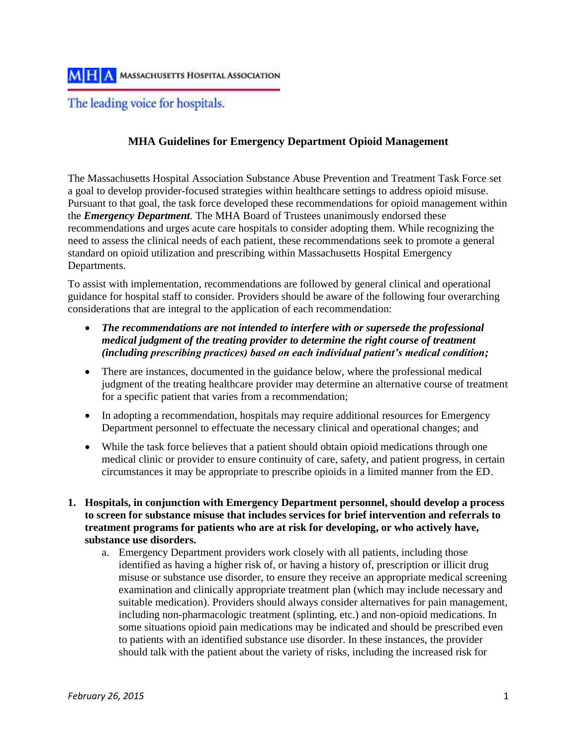The leading voice for hospitals.

## **MHA Guidelines for Emergency Department Opioid Management**

The Massachusetts Hospital Association Substance Abuse Prevention and Treatment Task Force set a goal to develop provider-focused strategies within healthcare settings to address opioid misuse. Pursuant to that goal, the task force developed these recommendations for opioid management within the *Emergency Department.* The MHA Board of Trustees unanimously endorsed these recommendations and urges acute care hospitals to consider adopting them. While recognizing the need to assess the clinical needs of each patient, these recommendations seek to promote a general standard on opioid utilization and prescribing within Massachusetts Hospital Emergency Departments.

To assist with implementation, recommendations are followed by general clinical and operational guidance for hospital staff to consider. Providers should be aware of the following four overarching considerations that are integral to the application of each recommendation:

- *The recommendations are not intended to interfere with or supersede the professional medical judgment of the treating provider to determine the right course of treatment (including prescribing practices) based on each individual patient's medical condition;*
- There are instances, documented in the guidance below, where the professional medical judgment of the treating healthcare provider may determine an alternative course of treatment for a specific patient that varies from a recommendation;
- In adopting a recommendation, hospitals may require additional resources for Emergency Department personnel to effectuate the necessary clinical and operational changes; and
- While the task force believes that a patient should obtain opioid medications through one medical clinic or provider to ensure continuity of care, safety, and patient progress, in certain circumstances it may be appropriate to prescribe opioids in a limited manner from the ED.
- **1. Hospitals, in conjunction with Emergency Department personnel, should develop a process to screen for substance misuse that includes services for brief intervention and referrals to treatment programs for patients who are at risk for developing, or who actively have, substance use disorders.**
	- a. Emergency Department providers work closely with all patients, including those identified as having a higher risk of, or having a history of, prescription or illicit drug misuse or substance use disorder, to ensure they receive an appropriate medical screening examination and clinically appropriate treatment plan (which may include necessary and suitable medication). Providers should always consider alternatives for pain management, including non-pharmacologic treatment (splinting, etc.) and non-opioid medications. In some situations opioid pain medications may be indicated and should be prescribed even to patients with an identified substance use disorder. In these instances, the provider should talk with the patient about the variety of risks, including the increased risk for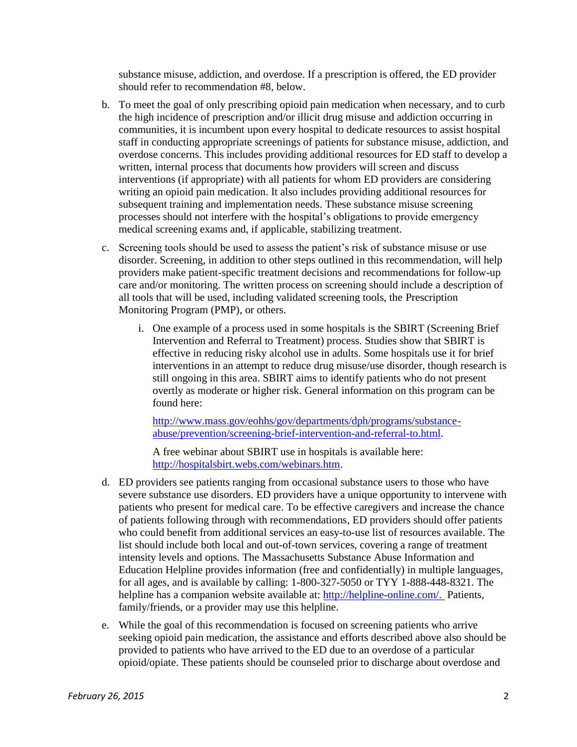substance misuse, addiction, and overdose. If a prescription is offered, the ED provider should refer to recommendation #8, below.

- b. To meet the goal of only prescribing opioid pain medication when necessary, and to curb the high incidence of prescription and/or illicit drug misuse and addiction occurring in communities, it is incumbent upon every hospital to dedicate resources to assist hospital staff in conducting appropriate screenings of patients for substance misuse, addiction, and overdose concerns. This includes providing additional resources for ED staff to develop a written, internal process that documents how providers will screen and discuss interventions (if appropriate) with all patients for whom ED providers are considering writing an opioid pain medication. It also includes providing additional resources for subsequent training and implementation needs. These substance misuse screening processes should not interfere with the hospital's obligations to provide emergency medical screening exams and, if applicable, stabilizing treatment.
- c. Screening tools should be used to assess the patient's risk of substance misuse or use disorder. Screening, in addition to other steps outlined in this recommendation, will help providers make patient-specific treatment decisions and recommendations for follow-up care and/or monitoring. The written process on screening should include a description of all tools that will be used, including validated screening tools, the Prescription Monitoring Program (PMP), or others.
	- i. One example of a process used in some hospitals is the SBIRT (Screening Brief Intervention and Referral to Treatment) process. Studies show that SBIRT is effective in reducing risky alcohol use in adults. Some hospitals use it for brief interventions in an attempt to reduce drug misuse/use disorder, though research is still ongoing in this area. SBIRT aims to identify patients who do not present overtly as moderate or higher risk. General information on this program can be found here:

[http://www.mass.gov/eohhs/gov/departments/dph/programs/substance](http://www.mass.gov/eohhs/gov/departments/dph/programs/substance-abuse/prevention/screening-brief-intervention-and-referral-to.html)[abuse/prevention/screening-brief-intervention-and-referral-to.html.](http://www.mass.gov/eohhs/gov/departments/dph/programs/substance-abuse/prevention/screening-brief-intervention-and-referral-to.html)

A free webinar about SBIRT use in hospitals is available here: [http://hospitalsbirt.webs.com/webinars.htm.](http://hospitalsbirt.webs.com/webinars.htm)

- d. ED providers see patients ranging from occasional substance users to those who have severe substance use disorders. ED providers have a unique opportunity to intervene with patients who present for medical care. To be effective caregivers and increase the chance of patients following through with recommendations, ED providers should offer patients who could benefit from additional services an easy-to-use list of resources available. The list should include both local and out-of-town services, covering a range of treatment intensity levels and options. The Massachusetts Substance Abuse Information and Education Helpline provides information (free and confidentially) in multiple languages, for all ages, and is available by calling: 1-800-327-5050 or TYY 1-888-448-8321. The helpline has a companion website available at: [http://helpline-online.com/.](http://helpline-online.com/) Patients, family/friends, or a provider may use this helpline.
- e. While the goal of this recommendation is focused on screening patients who arrive seeking opioid pain medication, the assistance and efforts described above also should be provided to patients who have arrived to the ED due to an overdose of a particular opioid/opiate. These patients should be counseled prior to discharge about overdose and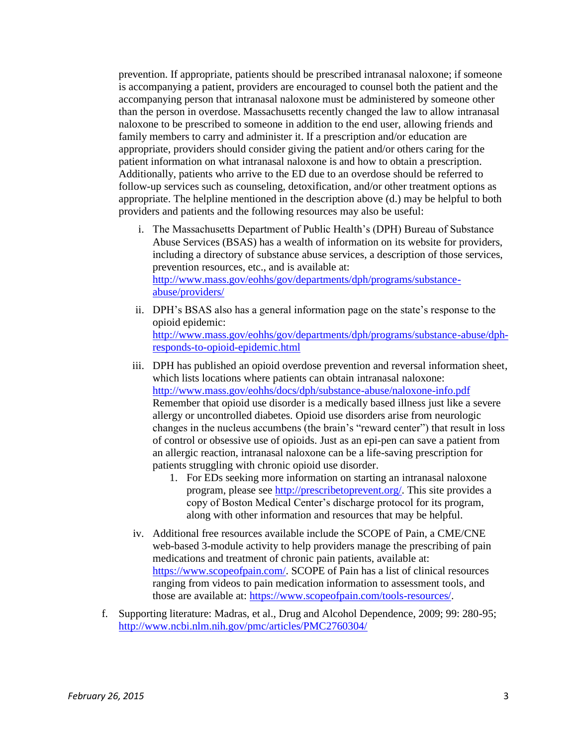prevention. If appropriate, patients should be prescribed intranasal naloxone; if someone is accompanying a patient, providers are encouraged to counsel both the patient and the accompanying person that intranasal naloxone must be administered by someone other than the person in overdose. Massachusetts recently changed the law to allow intranasal naloxone to be prescribed to someone in addition to the end user, allowing friends and family members to carry and administer it. If a prescription and/or education are appropriate, providers should consider giving the patient and/or others caring for the patient information on what intranasal naloxone is and how to obtain a prescription. Additionally, patients who arrive to the ED due to an overdose should be referred to follow-up services such as counseling, detoxification, and/or other treatment options as appropriate. The helpline mentioned in the description above (d.) may be helpful to both providers and patients and the following resources may also be useful:

- i. The Massachusetts Department of Public Health's (DPH) Bureau of Substance Abuse Services (BSAS) has a wealth of information on its website for providers, including a directory of substance abuse services, a description of those services, prevention resources, etc., and is available at: [http://www.mass.gov/eohhs/gov/departments/dph/programs/substance](http://www.mass.gov/eohhs/gov/departments/dph/programs/substance-abuse/providers/)[abuse/providers/](http://www.mass.gov/eohhs/gov/departments/dph/programs/substance-abuse/providers/)
- ii. DPH's BSAS also has a general information page on the state's response to the opioid epidemic: [http://www.mass.gov/eohhs/gov/departments/dph/programs/substance-abuse/dph](http://www.mass.gov/eohhs/gov/departments/dph/programs/substance-abuse/dph-responds-to-opioid-epidemic.html)[responds-to-opioid-epidemic.html](http://www.mass.gov/eohhs/gov/departments/dph/programs/substance-abuse/dph-responds-to-opioid-epidemic.html)
- iii. DPH has published an opioid overdose prevention and reversal information sheet, which lists locations where patients can obtain intranasal naloxone: <http://www.mass.gov/eohhs/docs/dph/substance-abuse/naloxone-info.pdf> Remember that opioid use disorder is a medically based illness just like a severe allergy or uncontrolled diabetes. Opioid use disorders arise from neurologic changes in the nucleus accumbens (the brain's "reward center") that result in loss of control or obsessive use of opioids. Just as an epi-pen can save a patient from an allergic reaction, intranasal naloxone can be a life-saving prescription for patients struggling with chronic opioid use disorder.
	- 1. For EDs seeking more information on starting an intranasal naloxone program, please see [http://prescribetoprevent.org/.](http://prescribetoprevent.org/) This site provides a copy of Boston Medical Center's discharge protocol for its program, along with other information and resources that may be helpful.
- iv. Additional free resources available include the SCOPE of Pain, a CME/CNE web-based 3-module activity to help providers manage the prescribing of pain medications and treatment of chronic pain patients, available at: [https://www.scopeofpain.com/.](https://www.scopeofpain.com/) SCOPE of Pain has a list of clinical resources ranging from videos to pain medication information to assessment tools, and those are available at: [https://www.scopeofpain.com/tools-resources/.](https://www.scopeofpain.com/tools-resources/)
- f. Supporting literature: Madras, et al., Drug and Alcohol Dependence, 2009; 99: 280-95; <http://www.ncbi.nlm.nih.gov/pmc/articles/PMC2760304/>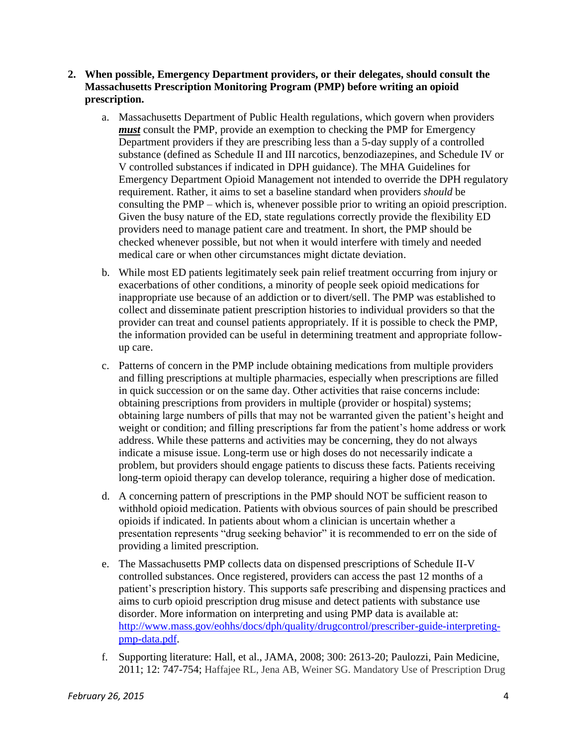- **2. When possible, Emergency Department providers, or their delegates, should consult the Massachusetts Prescription Monitoring Program (PMP) before writing an opioid prescription.**
	- a. Massachusetts Department of Public Health regulations, which govern when providers *must* consult the PMP, provide an exemption to checking the PMP for Emergency Department providers if they are prescribing less than a 5-day supply of a controlled substance (defined as Schedule II and III narcotics, benzodiazepines, and Schedule IV or V controlled substances if indicated in DPH guidance). The MHA Guidelines for Emergency Department Opioid Management not intended to override the DPH regulatory requirement. Rather, it aims to set a baseline standard when providers *should* be consulting the PMP – which is, whenever possible prior to writing an opioid prescription. Given the busy nature of the ED, state regulations correctly provide the flexibility ED providers need to manage patient care and treatment. In short, the PMP should be checked whenever possible, but not when it would interfere with timely and needed medical care or when other circumstances might dictate deviation.
	- b. While most ED patients legitimately seek pain relief treatment occurring from injury or exacerbations of other conditions, a minority of people seek opioid medications for inappropriate use because of an addiction or to divert/sell. The PMP was established to collect and disseminate patient prescription histories to individual providers so that the provider can treat and counsel patients appropriately. If it is possible to check the PMP, the information provided can be useful in determining treatment and appropriate followup care.
	- c. Patterns of concern in the PMP include obtaining medications from multiple providers and filling prescriptions at multiple pharmacies, especially when prescriptions are filled in quick succession or on the same day. Other activities that raise concerns include: obtaining prescriptions from providers in multiple (provider or hospital) systems; obtaining large numbers of pills that may not be warranted given the patient's height and weight or condition; and filling prescriptions far from the patient's home address or work address. While these patterns and activities may be concerning, they do not always indicate a misuse issue. Long-term use or high doses do not necessarily indicate a problem, but providers should engage patients to discuss these facts. Patients receiving long-term opioid therapy can develop tolerance, requiring a higher dose of medication.
	- d. A concerning pattern of prescriptions in the PMP should NOT be sufficient reason to withhold opioid medication. Patients with obvious sources of pain should be prescribed opioids if indicated. In patients about whom a clinician is uncertain whether a presentation represents "drug seeking behavior" it is recommended to err on the side of providing a limited prescription.
	- e. The Massachusetts PMP collects data on dispensed prescriptions of Schedule II-V controlled substances. Once registered, providers can access the past 12 months of a patient's prescription history. This supports safe prescribing and dispensing practices and aims to curb opioid prescription drug misuse and detect patients with substance use disorder. More information on interpreting and using PMP data is available at: [http://www.mass.gov/eohhs/docs/dph/quality/drugcontrol/prescriber-guide-interpreting](http://www.mass.gov/eohhs/docs/dph/quality/drugcontrol/prescriber-guide-interpreting-pmp-data.pdf)[pmp-data.pdf.](http://www.mass.gov/eohhs/docs/dph/quality/drugcontrol/prescriber-guide-interpreting-pmp-data.pdf)
	- f. Supporting literature: Hall, et al., JAMA, 2008; 300: 2613-20; Paulozzi, Pain Medicine, 2011; 12: 747-754; Haffajee RL, Jena AB, Weiner SG. Mandatory Use of Prescription Drug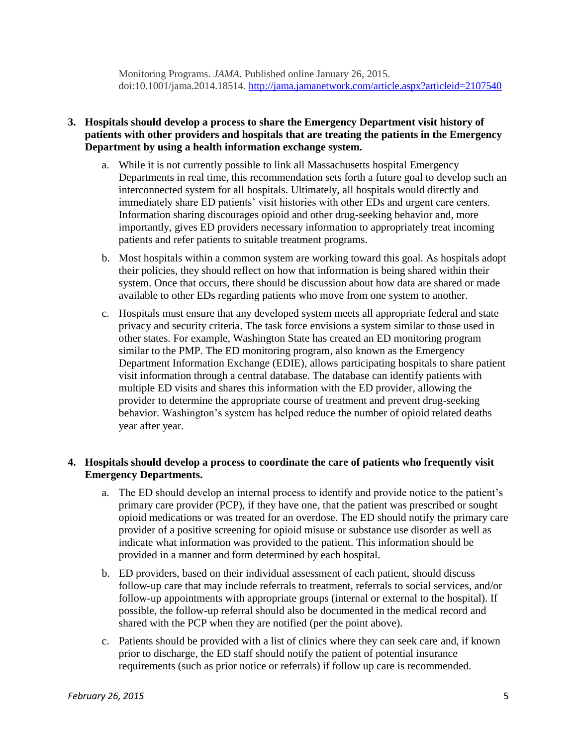Monitoring Programs. *JAMA.* Published online January 26, 2015. doi:10.1001/jama.2014.18514.<http://jama.jamanetwork.com/article.aspx?articleid=2107540>

#### **3. Hospitals should develop a process to share the Emergency Department visit history of patients with other providers and hospitals that are treating the patients in the Emergency Department by using a health information exchange system.**

- a. While it is not currently possible to link all Massachusetts hospital Emergency Departments in real time, this recommendation sets forth a future goal to develop such an interconnected system for all hospitals. Ultimately, all hospitals would directly and immediately share ED patients' visit histories with other EDs and urgent care centers. Information sharing discourages opioid and other drug-seeking behavior and, more importantly, gives ED providers necessary information to appropriately treat incoming patients and refer patients to suitable treatment programs.
- b. Most hospitals within a common system are working toward this goal. As hospitals adopt their policies, they should reflect on how that information is being shared within their system. Once that occurs, there should be discussion about how data are shared or made available to other EDs regarding patients who move from one system to another.
- c. Hospitals must ensure that any developed system meets all appropriate federal and state privacy and security criteria. The task force envisions a system similar to those used in other states. For example, Washington State has created an ED monitoring program similar to the PMP. The ED monitoring program, also known as the Emergency Department Information Exchange (EDIE), allows participating hospitals to share patient visit information through a central database. The database can identify patients with multiple ED visits and shares this information with the ED provider, allowing the provider to determine the appropriate course of treatment and prevent drug-seeking behavior. Washington's system has helped reduce the number of opioid related deaths year after year.

### **4. Hospitals should develop a process to coordinate the care of patients who frequently visit Emergency Departments.**

- a. The ED should develop an internal process to identify and provide notice to the patient's primary care provider (PCP), if they have one, that the patient was prescribed or sought opioid medications or was treated for an overdose. The ED should notify the primary care provider of a positive screening for opioid misuse or substance use disorder as well as indicate what information was provided to the patient. This information should be provided in a manner and form determined by each hospital.
- b. ED providers, based on their individual assessment of each patient, should discuss follow-up care that may include referrals to treatment, referrals to social services, and/or follow-up appointments with appropriate groups (internal or external to the hospital). If possible, the follow-up referral should also be documented in the medical record and shared with the PCP when they are notified (per the point above).
- c. Patients should be provided with a list of clinics where they can seek care and, if known prior to discharge, the ED staff should notify the patient of potential insurance requirements (such as prior notice or referrals) if follow up care is recommended.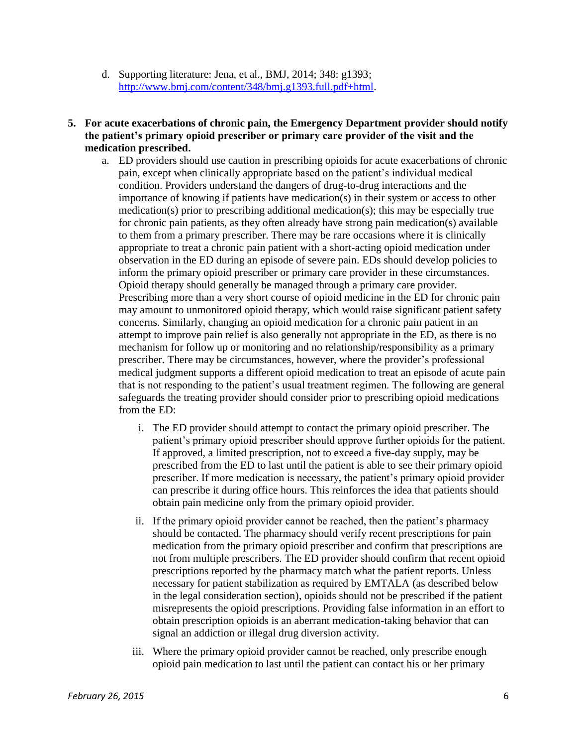- d. Supporting literature: Jena, et al., BMJ, 2014; 348: g1393; [http://www.bmj.com/content/348/bmj.g1393.full.pdf+html.](http://www.bmj.com/content/348/bmj.g1393.full.pdf+html)
- **5. For acute exacerbations of chronic pain, the Emergency Department provider should notify the patient's primary opioid prescriber or primary care provider of the visit and the medication prescribed.**
	- a. ED providers should use caution in prescribing opioids for acute exacerbations of chronic pain, except when clinically appropriate based on the patient's individual medical condition. Providers understand the dangers of drug-to-drug interactions and the importance of knowing if patients have medication(s) in their system or access to other medication(s) prior to prescribing additional medication(s); this may be especially true for chronic pain patients, as they often already have strong pain medication(s) available to them from a primary prescriber. There may be rare occasions where it is clinically appropriate to treat a chronic pain patient with a short-acting opioid medication under observation in the ED during an episode of severe pain. EDs should develop policies to inform the primary opioid prescriber or primary care provider in these circumstances. Opioid therapy should generally be managed through a primary care provider. Prescribing more than a very short course of opioid medicine in the ED for chronic pain may amount to unmonitored opioid therapy, which would raise significant patient safety concerns. Similarly, changing an opioid medication for a chronic pain patient in an attempt to improve pain relief is also generally not appropriate in the ED, as there is no mechanism for follow up or monitoring and no relationship/responsibility as a primary prescriber. There may be circumstances, however, where the provider's professional medical judgment supports a different opioid medication to treat an episode of acute pain that is not responding to the patient's usual treatment regimen. The following are general safeguards the treating provider should consider prior to prescribing opioid medications from the ED:
		- i. The ED provider should attempt to contact the primary opioid prescriber. The patient's primary opioid prescriber should approve further opioids for the patient. If approved, a limited prescription, not to exceed a five-day supply, may be prescribed from the ED to last until the patient is able to see their primary opioid prescriber. If more medication is necessary, the patient's primary opioid provider can prescribe it during office hours. This reinforces the idea that patients should obtain pain medicine only from the primary opioid provider.
		- ii. If the primary opioid provider cannot be reached, then the patient's pharmacy should be contacted. The pharmacy should verify recent prescriptions for pain medication from the primary opioid prescriber and confirm that prescriptions are not from multiple prescribers. The ED provider should confirm that recent opioid prescriptions reported by the pharmacy match what the patient reports. Unless necessary for patient stabilization as required by EMTALA (as described below in the legal consideration section), opioids should not be prescribed if the patient misrepresents the opioid prescriptions. Providing false information in an effort to obtain prescription opioids is an aberrant medication-taking behavior that can signal an addiction or illegal drug diversion activity.
		- iii. Where the primary opioid provider cannot be reached, only prescribe enough opioid pain medication to last until the patient can contact his or her primary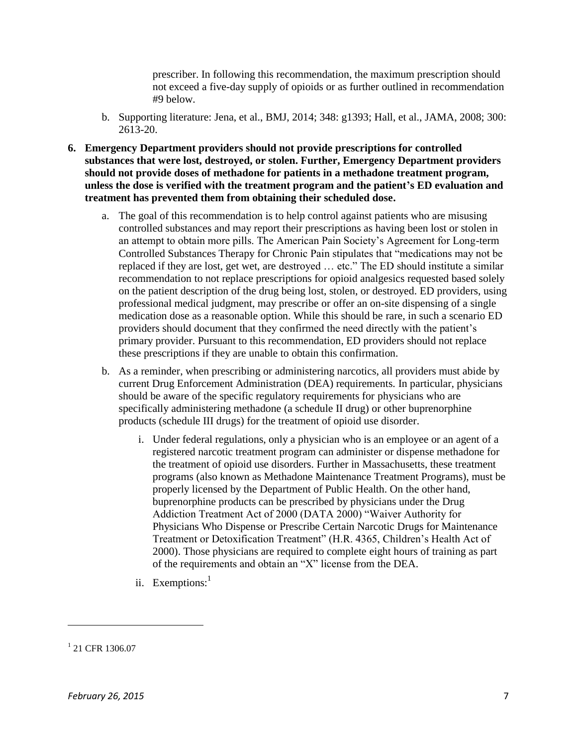prescriber. In following this recommendation, the maximum prescription should not exceed a five-day supply of opioids or as further outlined in recommendation #9 below.

- b. Supporting literature: Jena, et al., BMJ, 2014; 348: g1393; Hall, et al., JAMA, 2008; 300: 2613-20.
- **6. Emergency Department providers should not provide prescriptions for controlled substances that were lost, destroyed, or stolen. Further, Emergency Department providers should not provide doses of methadone for patients in a methadone treatment program, unless the dose is verified with the treatment program and the patient's ED evaluation and treatment has prevented them from obtaining their scheduled dose.**
	- a. The goal of this recommendation is to help control against patients who are misusing controlled substances and may report their prescriptions as having been lost or stolen in an attempt to obtain more pills. The American Pain Society's Agreement for Long-term Controlled Substances Therapy for Chronic Pain stipulates that "medications may not be replaced if they are lost, get wet, are destroyed … etc." The ED should institute a similar recommendation to not replace prescriptions for opioid analgesics requested based solely on the patient description of the drug being lost, stolen, or destroyed. ED providers, using professional medical judgment, may prescribe or offer an on-site dispensing of a single medication dose as a reasonable option. While this should be rare, in such a scenario ED providers should document that they confirmed the need directly with the patient's primary provider. Pursuant to this recommendation, ED providers should not replace these prescriptions if they are unable to obtain this confirmation.
	- b. As a reminder, when prescribing or administering narcotics, all providers must abide by current Drug Enforcement Administration (DEA) requirements. In particular, physicians should be aware of the specific regulatory requirements for physicians who are specifically administering methadone (a schedule II drug) or other buprenorphine products (schedule III drugs) for the treatment of opioid use disorder.
		- i. Under federal regulations, only a physician who is an employee or an agent of a registered narcotic treatment program can administer or dispense methadone for the treatment of opioid use disorders. Further in Massachusetts, these treatment programs (also known as Methadone Maintenance Treatment Programs), must be properly licensed by the Department of Public Health. On the other hand, buprenorphine products can be prescribed by physicians under the Drug Addiction Treatment Act of 2000 (DATA 2000) "Waiver Authority for Physicians Who Dispense or Prescribe Certain Narcotic Drugs for Maintenance Treatment or Detoxification Treatment" (H.R. 4365, Children's Health Act of 2000). Those physicians are required to complete eight hours of training as part of the requirements and obtain an "X" license from the DEA.
		- ii. Exemptions:<sup>1</sup>

l

<sup>&</sup>lt;sup>1</sup> 21 CFR 1306.07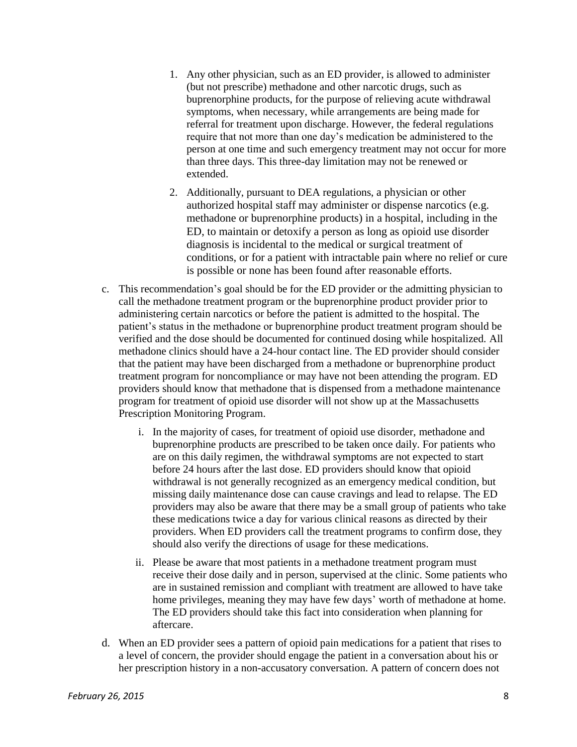- 1. Any other physician, such as an ED provider, is allowed to administer (but not prescribe) methadone and other narcotic drugs, such as buprenorphine products, for the purpose of relieving acute withdrawal symptoms, when necessary, while arrangements are being made for referral for treatment upon discharge. However, the federal regulations require that not more than one day's medication be administered to the person at one time and such emergency treatment may not occur for more than three days. This three-day limitation may not be renewed or extended.
- 2. Additionally, pursuant to DEA regulations, a physician or other authorized hospital staff may administer or dispense narcotics (e.g. methadone or buprenorphine products) in a hospital, including in the ED, to maintain or detoxify a person as long as opioid use disorder diagnosis is incidental to the medical or surgical treatment of conditions, or for a patient with intractable pain where no relief or cure is possible or none has been found after reasonable efforts.
- c. This recommendation's goal should be for the ED provider or the admitting physician to call the methadone treatment program or the buprenorphine product provider prior to administering certain narcotics or before the patient is admitted to the hospital. The patient's status in the methadone or buprenorphine product treatment program should be verified and the dose should be documented for continued dosing while hospitalized. All methadone clinics should have a 24-hour contact line. The ED provider should consider that the patient may have been discharged from a methadone or buprenorphine product treatment program for noncompliance or may have not been attending the program. ED providers should know that methadone that is dispensed from a methadone maintenance program for treatment of opioid use disorder will not show up at the Massachusetts Prescription Monitoring Program.
	- i. In the majority of cases, for treatment of opioid use disorder, methadone and buprenorphine products are prescribed to be taken once daily. For patients who are on this daily regimen, the withdrawal symptoms are not expected to start before 24 hours after the last dose. ED providers should know that opioid withdrawal is not generally recognized as an emergency medical condition, but missing daily maintenance dose can cause cravings and lead to relapse. The ED providers may also be aware that there may be a small group of patients who take these medications twice a day for various clinical reasons as directed by their providers. When ED providers call the treatment programs to confirm dose, they should also verify the directions of usage for these medications.
	- ii. Please be aware that most patients in a methadone treatment program must receive their dose daily and in person, supervised at the clinic. Some patients who are in sustained remission and compliant with treatment are allowed to have take home privileges, meaning they may have few days' worth of methadone at home. The ED providers should take this fact into consideration when planning for aftercare.
- d. When an ED provider sees a pattern of opioid pain medications for a patient that rises to a level of concern, the provider should engage the patient in a conversation about his or her prescription history in a non-accusatory conversation. A pattern of concern does not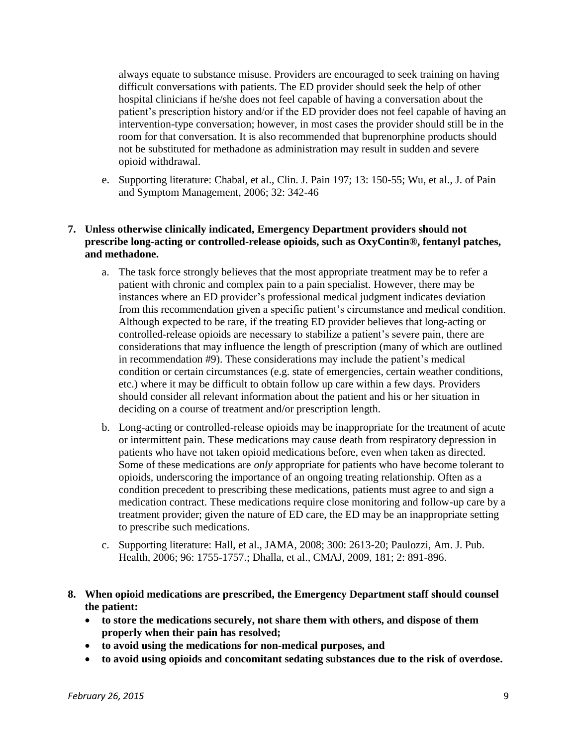always equate to substance misuse. Providers are encouraged to seek training on having difficult conversations with patients. The ED provider should seek the help of other hospital clinicians if he/she does not feel capable of having a conversation about the patient's prescription history and/or if the ED provider does not feel capable of having an intervention-type conversation; however, in most cases the provider should still be in the room for that conversation. It is also recommended that buprenorphine products should not be substituted for methadone as administration may result in sudden and severe opioid withdrawal.

e. Supporting literature: Chabal, et al., Clin. J. Pain 197; 13: 150-55; Wu, et al., J. of Pain and Symptom Management, 2006; 32: 342-46

#### **7. Unless otherwise clinically indicated, Emergency Department providers should not prescribe long-acting or controlled-release opioids, such as OxyContin®, fentanyl patches, and methadone.**

- a. The task force strongly believes that the most appropriate treatment may be to refer a patient with chronic and complex pain to a pain specialist. However, there may be instances where an ED provider's professional medical judgment indicates deviation from this recommendation given a specific patient's circumstance and medical condition. Although expected to be rare, if the treating ED provider believes that long-acting or controlled-release opioids are necessary to stabilize a patient's severe pain, there are considerations that may influence the length of prescription (many of which are outlined in recommendation #9). These considerations may include the patient's medical condition or certain circumstances (e.g. state of emergencies, certain weather conditions, etc.) where it may be difficult to obtain follow up care within a few days. Providers should consider all relevant information about the patient and his or her situation in deciding on a course of treatment and/or prescription length.
- b. Long-acting or controlled-release opioids may be inappropriate for the treatment of acute or intermittent pain. These medications may cause death from respiratory depression in patients who have not taken opioid medications before, even when taken as directed. Some of these medications are *only* appropriate for patients who have become tolerant to opioids, underscoring the importance of an ongoing treating relationship. Often as a condition precedent to prescribing these medications, patients must agree to and sign a medication contract. These medications require close monitoring and follow-up care by a treatment provider; given the nature of ED care, the ED may be an inappropriate setting to prescribe such medications.
- c. Supporting literature: Hall, et al., JAMA, 2008; 300: 2613-20; Paulozzi, Am. J. Pub. Health, 2006; 96: 1755-1757.; Dhalla, et al., CMAJ, 2009, 181; 2: 891-896.
- **8. When opioid medications are prescribed, the Emergency Department staff should counsel the patient:**
	- **to store the medications securely, not share them with others, and dispose of them properly when their pain has resolved;**
	- **to avoid using the medications for non-medical purposes, and**
	- **to avoid using opioids and concomitant sedating substances due to the risk of overdose.**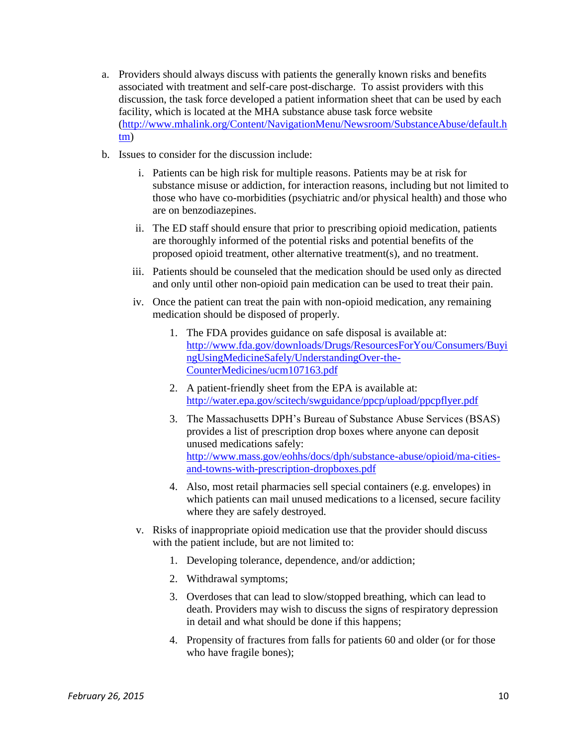- a. Providers should always discuss with patients the generally known risks and benefits associated with treatment and self-care post-discharge. To assist providers with this discussion, the task force developed a patient information sheet that can be used by each facility, which is located at the MHA substance abuse task force website [\(http://www.mhalink.org/Content/NavigationMenu/Newsroom/SubstanceAbuse/default.h](http://www.mhalink.org/Content/NavigationMenu/Newsroom/SubstanceAbuse/default.htm) [tm\)](http://www.mhalink.org/Content/NavigationMenu/Newsroom/SubstanceAbuse/default.htm)
- b. Issues to consider for the discussion include:
	- i. Patients can be high risk for multiple reasons. Patients may be at risk for substance misuse or addiction, for interaction reasons, including but not limited to those who have co-morbidities (psychiatric and/or physical health) and those who are on benzodiazepines.
	- ii. The ED staff should ensure that prior to prescribing opioid medication, patients are thoroughly informed of the potential risks and potential benefits of the proposed opioid treatment, other alternative treatment(s), and no treatment.
	- iii. Patients should be counseled that the medication should be used only as directed and only until other non-opioid pain medication can be used to treat their pain.
	- iv. Once the patient can treat the pain with non-opioid medication, any remaining medication should be disposed of properly.
		- 1. The FDA provides guidance on safe disposal is available at: [http://www.fda.gov/downloads/Drugs/ResourcesForYou/Consumers/Buyi](http://www.fda.gov/downloads/Drugs/ResourcesForYou/Consumers/BuyingUsingMedicineSafely/UnderstandingOver-the-CounterMedicines/ucm107163.pdf) [ngUsingMedicineSafely/UnderstandingOver-the-](http://www.fda.gov/downloads/Drugs/ResourcesForYou/Consumers/BuyingUsingMedicineSafely/UnderstandingOver-the-CounterMedicines/ucm107163.pdf)[CounterMedicines/ucm107163.pdf](http://www.fda.gov/downloads/Drugs/ResourcesForYou/Consumers/BuyingUsingMedicineSafely/UnderstandingOver-the-CounterMedicines/ucm107163.pdf)
		- 2. A patient-friendly sheet from the EPA is available at: <http://water.epa.gov/scitech/swguidance/ppcp/upload/ppcpflyer.pdf>
		- 3. The Massachusetts DPH's Bureau of Substance Abuse Services (BSAS) provides a list of prescription drop boxes where anyone can deposit unused medications safely: [http://www.mass.gov/eohhs/docs/dph/substance-abuse/opioid/ma-cities](http://www.mass.gov/eohhs/docs/dph/substance-abuse/opioid/ma-cities-and-towns-with-prescription-dropboxes.pdf)[and-towns-with-prescription-dropboxes.pdf](http://www.mass.gov/eohhs/docs/dph/substance-abuse/opioid/ma-cities-and-towns-with-prescription-dropboxes.pdf)
		- 4. Also, most retail pharmacies sell special containers (e.g. envelopes) in which patients can mail unused medications to a licensed, secure facility where they are safely destroyed.
	- v. Risks of inappropriate opioid medication use that the provider should discuss with the patient include, but are not limited to:
		- 1. Developing tolerance, dependence, and/or addiction;
		- 2. Withdrawal symptoms;
		- 3. Overdoses that can lead to slow/stopped breathing, which can lead to death. Providers may wish to discuss the signs of respiratory depression in detail and what should be done if this happens;
		- 4. Propensity of fractures from falls for patients 60 and older (or for those who have fragile bones);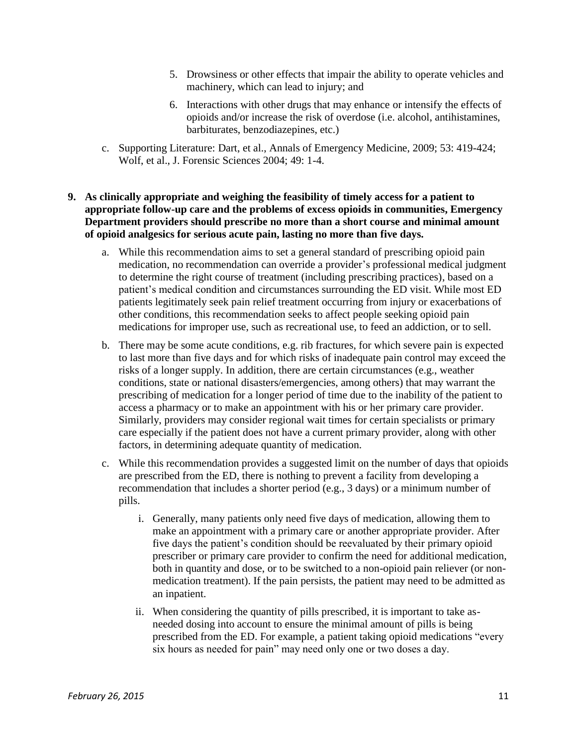- 5. Drowsiness or other effects that impair the ability to operate vehicles and machinery, which can lead to injury; and
- 6. Interactions with other drugs that may enhance or intensify the effects of opioids and/or increase the risk of overdose (i.e. alcohol, antihistamines, barbiturates, benzodiazepines, etc.)
- c. Supporting Literature: Dart, et al., Annals of Emergency Medicine, 2009; 53: 419-424; Wolf, et al., J. Forensic Sciences 2004; 49: 1-4.
- **9. As clinically appropriate and weighing the feasibility of timely access for a patient to appropriate follow-up care and the problems of excess opioids in communities, Emergency Department providers should prescribe no more than a short course and minimal amount of opioid analgesics for serious acute pain, lasting no more than five days.**
	- a. While this recommendation aims to set a general standard of prescribing opioid pain medication, no recommendation can override a provider's professional medical judgment to determine the right course of treatment (including prescribing practices), based on a patient's medical condition and circumstances surrounding the ED visit. While most ED patients legitimately seek pain relief treatment occurring from injury or exacerbations of other conditions, this recommendation seeks to affect people seeking opioid pain medications for improper use, such as recreational use, to feed an addiction, or to sell.
	- b. There may be some acute conditions, e.g. rib fractures, for which severe pain is expected to last more than five days and for which risks of inadequate pain control may exceed the risks of a longer supply. In addition, there are certain circumstances (e.g., weather conditions, state or national disasters/emergencies, among others) that may warrant the prescribing of medication for a longer period of time due to the inability of the patient to access a pharmacy or to make an appointment with his or her primary care provider. Similarly, providers may consider regional wait times for certain specialists or primary care especially if the patient does not have a current primary provider, along with other factors, in determining adequate quantity of medication.
	- c. While this recommendation provides a suggested limit on the number of days that opioids are prescribed from the ED, there is nothing to prevent a facility from developing a recommendation that includes a shorter period (e.g., 3 days) or a minimum number of pills.
		- i. Generally, many patients only need five days of medication, allowing them to make an appointment with a primary care or another appropriate provider. After five days the patient's condition should be reevaluated by their primary opioid prescriber or primary care provider to confirm the need for additional medication, both in quantity and dose, or to be switched to a non-opioid pain reliever (or nonmedication treatment). If the pain persists, the patient may need to be admitted as an inpatient.
		- ii. When considering the quantity of pills prescribed, it is important to take asneeded dosing into account to ensure the minimal amount of pills is being prescribed from the ED. For example, a patient taking opioid medications "every six hours as needed for pain" may need only one or two doses a day.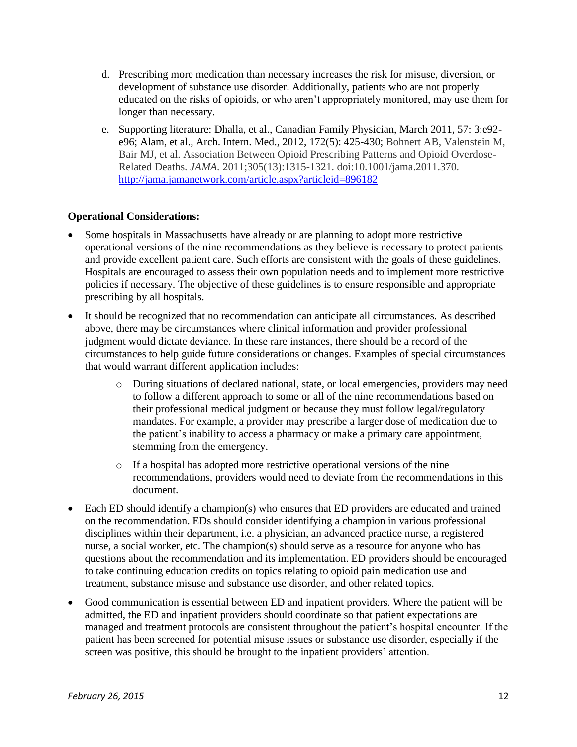- d. Prescribing more medication than necessary increases the risk for misuse, diversion, or development of substance use disorder. Additionally, patients who are not properly educated on the risks of opioids, or who aren't appropriately monitored, may use them for longer than necessary.
- e. Supporting literature: Dhalla, et al., Canadian Family Physician, March 2011, 57: 3:e92 e96; Alam, et al., Arch. Intern. Med., 2012, 172(5): 425-430; Bohnert AB, Valenstein M, Bair MJ, et al. Association Between Opioid Prescribing Patterns and Opioid Overdose-Related Deaths. *JAMA.* 2011;305(13):1315-1321. doi:10.1001/jama.2011.370. <http://jama.jamanetwork.com/article.aspx?articleid=896182>

#### **Operational Considerations:**

- Some hospitals in Massachusetts have already or are planning to adopt more restrictive operational versions of the nine recommendations as they believe is necessary to protect patients and provide excellent patient care. Such efforts are consistent with the goals of these guidelines. Hospitals are encouraged to assess their own population needs and to implement more restrictive policies if necessary. The objective of these guidelines is to ensure responsible and appropriate prescribing by all hospitals.
- It should be recognized that no recommendation can anticipate all circumstances. As described above, there may be circumstances where clinical information and provider professional judgment would dictate deviance. In these rare instances, there should be a record of the circumstances to help guide future considerations or changes. Examples of special circumstances that would warrant different application includes:
	- o During situations of declared national, state, or local emergencies, providers may need to follow a different approach to some or all of the nine recommendations based on their professional medical judgment or because they must follow legal/regulatory mandates. For example, a provider may prescribe a larger dose of medication due to the patient's inability to access a pharmacy or make a primary care appointment, stemming from the emergency.
	- o If a hospital has adopted more restrictive operational versions of the nine recommendations, providers would need to deviate from the recommendations in this document.
- Each ED should identify a champion(s) who ensures that ED providers are educated and trained on the recommendation. EDs should consider identifying a champion in various professional disciplines within their department, i.e. a physician, an advanced practice nurse, a registered nurse, a social worker, etc. The champion(s) should serve as a resource for anyone who has questions about the recommendation and its implementation. ED providers should be encouraged to take continuing education credits on topics relating to opioid pain medication use and treatment, substance misuse and substance use disorder, and other related topics.
- Good communication is essential between ED and inpatient providers. Where the patient will be admitted, the ED and inpatient providers should coordinate so that patient expectations are managed and treatment protocols are consistent throughout the patient's hospital encounter. If the patient has been screened for potential misuse issues or substance use disorder, especially if the screen was positive, this should be brought to the inpatient providers' attention.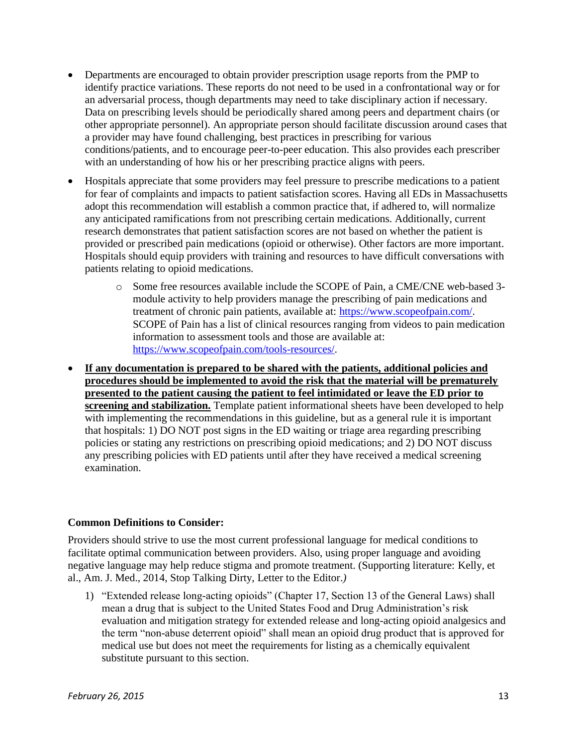- Departments are encouraged to obtain provider prescription usage reports from the PMP to identify practice variations. These reports do not need to be used in a confrontational way or for an adversarial process, though departments may need to take disciplinary action if necessary. Data on prescribing levels should be periodically shared among peers and department chairs (or other appropriate personnel). An appropriate person should facilitate discussion around cases that a provider may have found challenging, best practices in prescribing for various conditions/patients, and to encourage peer-to-peer education. This also provides each prescriber with an understanding of how his or her prescribing practice aligns with peers.
- Hospitals appreciate that some providers may feel pressure to prescribe medications to a patient for fear of complaints and impacts to patient satisfaction scores. Having all EDs in Massachusetts adopt this recommendation will establish a common practice that, if adhered to, will normalize any anticipated ramifications from not prescribing certain medications. Additionally, current research demonstrates that patient satisfaction scores are not based on whether the patient is provided or prescribed pain medications (opioid or otherwise). Other factors are more important. Hospitals should equip providers with training and resources to have difficult conversations with patients relating to opioid medications.
	- o Some free resources available include the SCOPE of Pain, a CME/CNE web-based 3 module activity to help providers manage the prescribing of pain medications and treatment of chronic pain patients, available at: [https://www.scopeofpain.com/.](https://www.scopeofpain.com/) SCOPE of Pain has a list of clinical resources ranging from videos to pain medication information to assessment tools and those are available at: [https://www.scopeofpain.com/tools-resources/.](https://www.scopeofpain.com/tools-resources/)
- **If any documentation is prepared to be shared with the patients, additional policies and procedures should be implemented to avoid the risk that the material will be prematurely presented to the patient causing the patient to feel intimidated or leave the ED prior to screening and stabilization.** Template patient informational sheets have been developed to help with implementing the recommendations in this guideline, but as a general rule it is important that hospitals: 1) DO NOT post signs in the ED waiting or triage area regarding prescribing policies or stating any restrictions on prescribing opioid medications; and 2) DO NOT discuss any prescribing policies with ED patients until after they have received a medical screening examination.

#### **Common Definitions to Consider:**

Providers should strive to use the most current professional language for medical conditions to facilitate optimal communication between providers. Also, using proper language and avoiding negative language may help reduce stigma and promote treatment. (Supporting literature: Kelly, et al., Am. J. Med., 2014, Stop Talking Dirty, Letter to the Editor.*)*

1) "Extended release long-acting opioids" (Chapter 17, Section 13 of the General Laws) shall mean a drug that is subject to the United States Food and Drug Administration's risk evaluation and mitigation strategy for extended release and long-acting opioid analgesics and the term "non-abuse deterrent opioid" shall mean an opioid drug product that is approved for medical use but does not meet the requirements for listing as a chemically equivalent substitute pursuant to this section.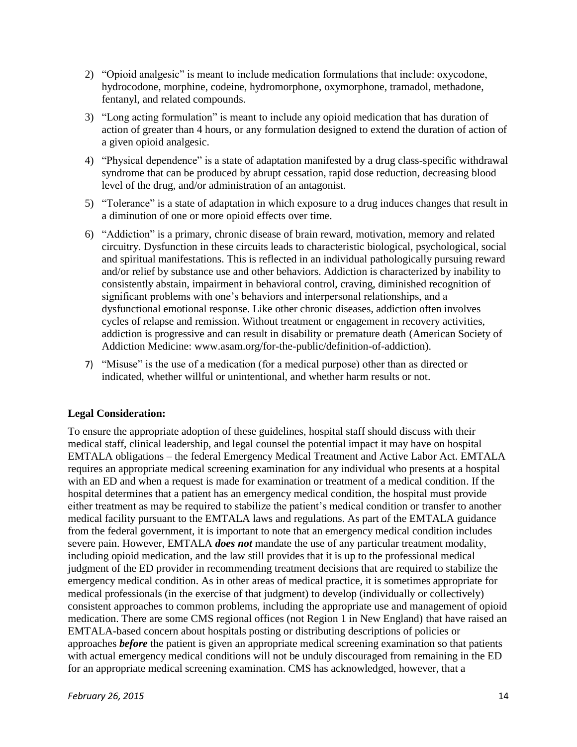- 2) "Opioid analgesic" is meant to include medication formulations that include: oxycodone, hydrocodone, morphine, codeine, hydromorphone, oxymorphone, tramadol, methadone, fentanyl, and related compounds.
- 3) "Long acting formulation" is meant to include any opioid medication that has duration of action of greater than 4 hours, or any formulation designed to extend the duration of action of a given opioid analgesic.
- 4) "Physical dependence" is a state of adaptation manifested by a drug class-specific withdrawal syndrome that can be produced by abrupt cessation, rapid dose reduction, decreasing blood level of the drug, and/or administration of an antagonist.
- 5) "Tolerance" is a state of adaptation in which exposure to a drug induces changes that result in a diminution of one or more opioid effects over time.
- 6) "Addiction" is a primary, chronic disease of brain reward, motivation, memory and related circuitry. Dysfunction in these circuits leads to characteristic biological, psychological, social and spiritual manifestations. This is reflected in an individual pathologically pursuing reward and/or relief by substance use and other behaviors. Addiction is characterized by inability to consistently abstain, impairment in behavioral control, craving, diminished recognition of significant problems with one's behaviors and interpersonal relationships, and a dysfunctional emotional response. Like other chronic diseases, addiction often involves cycles of relapse and remission. Without treatment or engagement in recovery activities, addiction is progressive and can result in disability or premature death (American Society of Addiction Medicine: www.asam.org/for-the-public/definition-of-addiction).
- 7) "Misuse" is the use of a medication (for a medical purpose) other than as directed or indicated, whether willful or unintentional, and whether harm results or not.

#### **Legal Consideration:**

To ensure the appropriate adoption of these guidelines, hospital staff should discuss with their medical staff, clinical leadership, and legal counsel the potential impact it may have on hospital EMTALA obligations – the federal Emergency Medical Treatment and Active Labor Act. EMTALA requires an appropriate medical screening examination for any individual who presents at a hospital with an ED and when a request is made for examination or treatment of a medical condition. If the hospital determines that a patient has an emergency medical condition, the hospital must provide either treatment as may be required to stabilize the patient's medical condition or transfer to another medical facility pursuant to the EMTALA laws and regulations. As part of the EMTALA guidance from the federal government, it is important to note that an emergency medical condition includes severe pain. However, EMTALA *does not* mandate the use of any particular treatment modality, including opioid medication, and the law still provides that it is up to the professional medical judgment of the ED provider in recommending treatment decisions that are required to stabilize the emergency medical condition. As in other areas of medical practice, it is sometimes appropriate for medical professionals (in the exercise of that judgment) to develop (individually or collectively) consistent approaches to common problems, including the appropriate use and management of opioid medication. There are some CMS regional offices (not Region 1 in New England) that have raised an EMTALA-based concern about hospitals posting or distributing descriptions of policies or approaches *before* the patient is given an appropriate medical screening examination so that patients with actual emergency medical conditions will not be unduly discouraged from remaining in the ED for an appropriate medical screening examination. CMS has acknowledged, however, that a